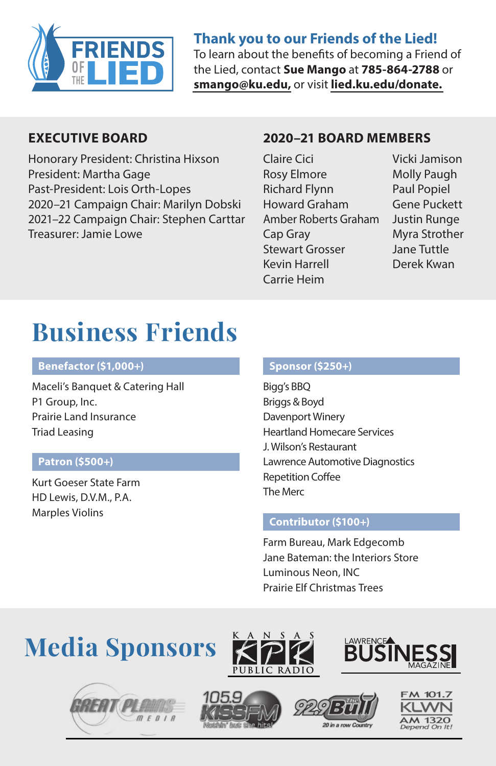

#### **Thank you to our Friends of the Lied!**

To learn about the benefits of becoming a Friend of the Lied, contact **Sue Mango** at **785-864-2788** or **[smango@ku.edu,](mailto:smango@ku.edu)** or visit **[lied.ku.edu/donate.](https://lied.ku.edu/donate/)**

#### **EXECUTIVE BOARD**

Honorary President: Christina Hixson President: Martha Gage Past-President: Lois Orth-Lopes 2020–21 Campaign Chair: Marilyn Dobski 2021–22 Campaign Chair: Stephen Carttar Treasurer: Jamie Lowe

#### **2020–21 BOARD MEMBERS**

- Claire Cici Rosy Elmore Richard Flynn Howard Graham Amber Roberts Graham Cap Gray Stewart Grosser Kevin Harrell Carrie Heim
- Vicki Jamison Molly Paugh Paul Popiel Gene Puckett Justin Runge Myra Strother Jane Tuttle Derek Kwan

# **Business Friends**

#### **Benefactor (\$1,000+)**

Maceli's Banquet & Catering Hall P1 Group, Inc. Prairie Land Insurance Triad Leasing

#### **Patron (\$500+)**

Kurt Goeser State Farm HD Lewis, D.V.M., P.A. Marples Violins

#### **Sponsor (\$250+)**

Bigg's BBQ Briggs & Boyd Davenport Winery Heartland Homecare Services J. Wilson's Restaurant Lawrence Automotive Diagnostics Repetition Coffee The Merc

#### **Contributor (\$100+)**

Farm Bureau, Mark Edgecomb Jane Bateman: the Interiors Store Luminous Neon, INC Prairie Elf Christmas Trees

# **Media Sponsors**











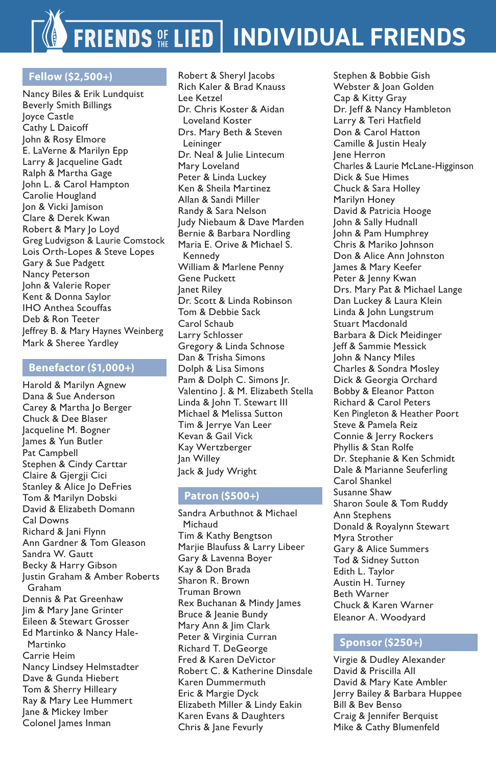# **FRIENDS OF LIED | INDIVIDUAL FRIENDS**

#### **Fellow (\$2,500+)**

Nancy Biles & Erik Lundquist Beverly Smith Billings Joyce Castle Cathy L Daicoff John & Rosy Elmore E. LaVerne & Marilyn Epp Larry & Jacqueline Gadt Ralph & Martha Gage John L. & Carol Hampton Carolie Hougland Jon & Vicki Jamison Clare & Derek Kwan Robert & Mary Jo Loyd Greg Ludvigson & Laurie Comstock Lois Orth-Lopes & Steve Lopes Gary & Sue Padgett Nancy Peterson John & Valerie Roper Kent & Donna Saylor IHO Anthea Scouffas Deb & Ron Teeter Jeffrey B. & Mary Haynes Weinberg Mark & Sheree Yardley

#### **Benefactor (\$1,000+)**

Harold & Marilyn Agnew Dana & Sue Anderson Carey & Martha Jo Berger Chuck & Dee Blaser Jacqueline M. Bogner James & Yun Butler Pat Campbell Stephen & Cindy Carttar Claire & Gjergji Cici Stanley & Alice Jo DeFries Tom & Marilyn Dobski David & Elizabeth Domann Cal Downs Richard & Jani Flynn Ann Gardner & Tom Gleason Sandra W. Gautt Becky & Harry Gibson Justin Graham & Amber Roberts Graham Dennis & Pat Greenhaw Jim & Mary Jane Grinter Eileen & Stewart Grosser Ed Martinko & Nancy Hale-Martinko Carrie Heim Nancy Lindsey Helmstadter Dave & Gunda Hiebert Tom & Sherry Hilleary Ray & Mary Lee Hummert Jane & Mickey Imber Colonel James Inman

Robert & Sheryl Jacobs Rich Kaler & Brad Knauss Lee Ketzel Dr. Chris Koster & Aidan Loveland Koster Drs. Mary Beth & Steven Leininger Dr. Neal & Julie Lintecum Mary Loveland Peter & Linda Luckey Ken & Sheila Martinez Allan & Sandi Miller Randy & Sara Nelson Judy Niebaum & Dave Marden Bernie & Barbara Nordling Maria E. Orive & Michael S. Kennedy William & Marlene Penny Gene Puckett Janet Riley Dr. Scott & Linda Robinson Tom & Debbie Sack Carol Schaub Larry Schlosser Gregory & Linda Schnose Dan & Trisha Simons Dolph & Lisa Simons Pam & Dolph C. Simons Jr. Valentino J. & M. Elizabeth Stella Linda & John T. Stewart III Michael & Melissa Sutton Tim & Jerrye Van Leer Kevan & Gail Vick Kay Wertzberger Jan Willey Jack & Judy Wright

#### **Patron (\$500+)**

Sandra Arbuthnot & Michael Michaud Tim & Kathy Bengtson Marjie Blaufuss & Larry Libeer Gary & Lavenna Boyer Kay & Don Brada Sharon R. Brown Truman Brown Rex Buchanan & Mindy James Bruce & Jeanie Bundy Mary Ann & Jim Clark Peter & Virginia Curran Richard T. DeGeorge Fred & Karen DeVictor Robert C. & Katherine Dinsdale Karen Dummermuth Eric & Margie Dyck Elizabeth Miller & Lindy Eakin Karen Evans & Daughters Chris & Jane Fevurly

Stephen & Bobbie Gish Webster & Joan Golden Cap & Kitty Gray Dr. Jeff & Nancy Hambleton Larry & Teri Hatfield Don & Carol Hatton Camille & Justin Healy Jene Herron Charles & Laurie McLane-Higginson Dick & Sue Himes Chuck & Sara Holley Marilyn Honey David & Patricia Hooge John & Sally Hudnall John & Pam Humphrey Chris & Mariko Johnson Don & Alice Ann Johnston James & Mary Keefer Peter & Jenny Kwan Drs. Mary Pat & Michael Lange Dan Luckey & Laura Klein Linda & John Lungstrum Stuart Macdonald Barbara & Dick Meidinger Jeff & Sammie Messick John & Nancy Miles Charles & Sondra Mosley Dick & Georgia Orchard Bobby & Eleanor Patton Richard & Carol Peters Ken Pingleton & Heather Poort Steve & Pamela Reiz Connie & Jerry Rockers Phyllis & Stan Rolfe Dr. Stephanie & Ken Schmidt Dale & Marianne Seuferling Carol Shankel Susanne Shaw Sharon Soule & Tom Ruddy Ann Stephens Donald & Royalynn Stewart Myra Strother Gary & Alice Summers Tod & Sidney Sutton Edith L. Taylor Austin H. Turney Beth Warner Chuck & Karen Warner Eleanor A. Woodyard

#### **Sponsor (\$250+)**

Virgie & Dudley Alexander David & Priscilla All David & Mary Kate Ambler Jerry Bailey & Barbara Huppee Bill & Bev Benso Craig & Jennifer Berquist Mike & Cathy Blumenfeld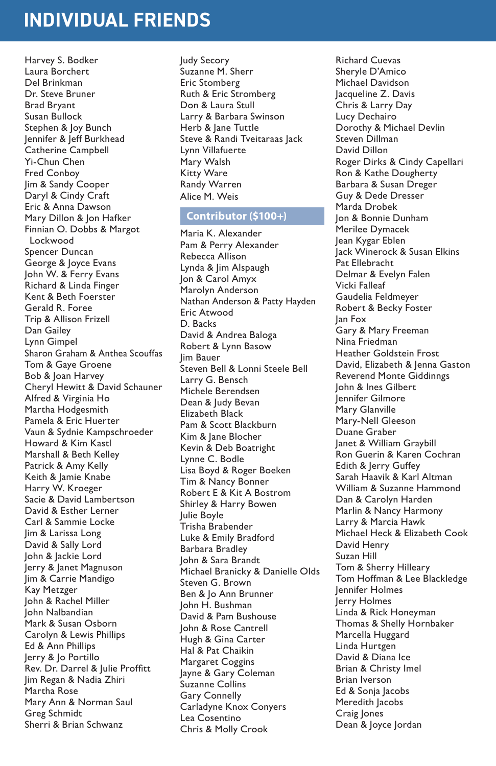## **INDIVIDUAL FRIENDS**

Harvey S. Bodker Laura Borchert Del Brinkman Dr. Steve Bruner Brad Bryant Susan Bullock Stephen & Joy Bunch Jennifer & Jeff Burkhead Catherine Campbell Yi-Chun Chen Fred Conboy Jim & Sandy Cooper Daryl & Cindy Craft Eric & Anna Dawson Mary Dillon & Jon Hafker Finnian O. Dobbs & Margot Lockwood Spencer Duncan George & Joyce Evans John W. & Ferry Evans Richard & Linda Finger Kent & Beth Foerster Gerald R. Foree Trip & Allison Frizell Dan Gailey Lynn Gimpel Sharon Graham & Anthea Scouffas Tom & Gaye Groene Bob & Joan Harvey Cheryl Hewitt & David Schauner Alfred & Virginia Ho Martha Hodgesmith Pamela & Eric Huerter Vaun & Sydnie Kampschroeder Howard & Kim Kastl Marshall & Beth Kelley Patrick & Amy Kelly Keith & Jamie Knabe Harry W. Kroeger Sacie & David Lambertson David & Esther Lerner Carl & Sammie Locke Jim & Larissa Long David & Sally Lord John & Jackie Lord Jerry & Janet Magnuson Jim & Carrie Mandigo Kay Metzger John & Rachel Miller John Nalbandian Mark & Susan Osborn Carolyn & Lewis Phillips Ed & Ann Phillips Jerry & Jo Portillo Rev. Dr. Darrel & Julie Proffitt Jim Regan & Nadia Zhiri Martha Rose Mary Ann & Norman Saul Greg Schmidt Sherri & Brian Schwanz

Judy Secory Suzanne M. Sherr Eric Stomberg Ruth & Eric Stromberg Don & Laura Stull Larry & Barbara Swinson Herb & Jane Tuttle Steve & Randi Tveitaraas Jack Lynn Villafuerte Mary Walsh Kitty Ware Randy Warren Alice M. Weis

#### **Contributor (\$100+)**

Maria K. Alexander Pam & Perry Alexander Rebecca Allison Lynda & Jim Alspaugh Jon & Carol Amyx Marolyn Anderson Nathan Anderson & Patty Hayden Eric Atwood D. Backs David & Andrea Baloga Robert & Lynn Basow Jim Bauer Steven Bell & Lonni Steele Bell Larry G. Bensch Michele Berendsen Dean & Judy Bevan Elizabeth Black Pam & Scott Blackburn Kim & Jane Blocher Kevin & Deb Boatright Lynne C. Bodle Lisa Boyd & Roger Boeken Tim & Nancy Bonner Robert E & Kit A Bostrom Shirley & Harry Bowen Julie Boyle Trisha Brabender Luke & Emily Bradford Barbara Bradley John & Sara Brandt Michael Branicky & Danielle Olds Steven G. Brown Ben & Jo Ann Brunner John H. Bushman David & Pam Bushouse John & Rose Cantrell Hugh & Gina Carter Hal & Pat Chaikin Margaret Coggins Jayne & Gary Coleman Suzanne Collins Gary Connelly Carladyne Knox Conyers Lea Cosentino Chris & Molly Crook

Richard Cuevas Sheryle D'Amico Michael Davidson Jacqueline Z. Davis Chris & Larry Day Lucy Dechairo Dorothy & Michael Devlin Steven Dillman David Dillon Roger Dirks & Cindy Capellari Ron & Kathe Dougherty Barbara & Susan Dreger Guy & Dede Dresser Marda Drobek Jon & Bonnie Dunham Merilee Dymacek Jean Kygar Eblen Jack Winerock & Susan Elkins Pat Ellebracht Delmar & Evelyn Falen Vicki Falleaf Gaudelia Feldmeyer Robert & Becky Foster Jan Fox Gary & Mary Freeman Nina Friedman Heather Goldstein Frost David, Elizabeth & Jenna Gaston Reverend Monte Giddinngs John & Ines Gilbert Jennifer Gilmore Mary Glanville Mary-Nell Gleeson Duane Graber Janet & William Graybill Ron Guerin & Karen Cochran Edith & Jerry Guffey Sarah Haavik & Karl Altman William & Suzanne Hammond Dan & Carolyn Harden Marlin & Nancy Harmony Larry & Marcia Hawk Michael Heck & Elizabeth Cook David Henry Suzan Hill Tom & Sherry Hilleary Tom Hoffman & Lee Blackledge Jennifer Holmes Jerry Holmes Linda & Rick Honeyman Thomas & Shelly Hornbaker Marcella Huggard Linda Hurtgen David & Diana Ice Brian & Christy Imel Brian Iverson Ed & Sonja Jacobs Meredith Jacobs Craig Jones Dean & Joyce Jordan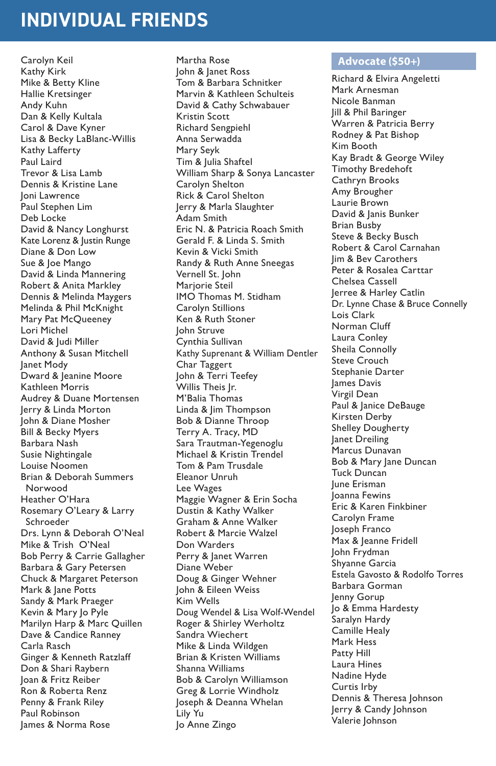### **INDIVIDUAL FRIENDS**

Carolyn Keil Kathy Kirk Mike & Betty Kline Hallie Kretsinger Andy Kuhn Dan & Kelly Kultala Carol & Dave Kyner Lisa & Becky LaBlanc-Willis Kathy Lafferty Paul Laird Trevor & Lisa Lamb Dennis & Kristine Lane Joni Lawrence Paul Stephen Lim Deb Locke David & Nancy Longhurst Kate Lorenz & Justin Runge Diane & Don Low Sue & Joe Mango David & Linda Mannering Robert & Anita Markley Dennis & Melinda Maygers Melinda & Phil McKnight Mary Pat McQueeney Lori Michel David & Judi Miller Anthony & Susan Mitchell Janet Mody Dward & Jeanine Moore Kathleen Morris Audrey & Duane Mortensen Jerry & Linda Morton John & Diane Mosher Bill & Becky Myers Barbara Nash Susie Nightingale Louise Noomen Brian & Deborah Summers Norwood Heather O'Hara Rosemary O'Leary & Larry Schroeder Drs. Lynn & Deborah O'Neal Mike & Trish O'Neal Bob Perry & Carrie Gallagher Barbara & Gary Petersen Chuck & Margaret Peterson Mark & Jane Potts Sandy & Mark Praeger Kevin & Mary Jo Pyle Marilyn Harp & Marc Quillen Dave & Candice Ranney Carla Rasch Ginger & Kenneth Ratzlaff Don & Shari Raybern Joan & Fritz Reiber Ron & Roberta Renz Penny & Frank Riley Paul Robinson James & Norma Rose

Martha Rose John & Janet Ross Tom & Barbara Schnitker Marvin & Kathleen Schulteis David & Cathy Schwabauer Kristin Scott Richard Sengpiehl Anna Serwadda Mary Seyk Tim & Julia Shaftel William Sharp & Sonya Lancaster Carolyn Shelton Rick & Carol Shelton Jerry & Marla Slaughter Adam Smith Eric N. & Patricia Roach Smith Gerald F. & Linda S. Smith Kevin & Vicki Smith Randy & Ruth Anne Sneegas Vernell St. John Marjorie Steil IMO Thomas M. Stidham Carolyn Stillions Ken & Ruth Stoner John Struve Cynthia Sullivan Kathy Suprenant & William Dentler Char Taggert John & Terri Teefey Willis Theis Jr. M'Balia Thomas Linda & Jim Thompson Bob & Dianne Throop Terry A. Tracy, MD Sara Trautman-Yegenoglu Michael & Kristin Trendel Tom & Pam Trusdale Eleanor Unruh Lee Wages Maggie Wagner & Erin Socha Dustin & Kathy Walker Graham & Anne Walker Robert & Marcie Walzel Don Warders Perry & Janet Warren Diane Weber Doug & Ginger Wehner John & Eileen Weiss Kim Wells Doug Wendel & Lisa Wolf-Wendel Roger & Shirley Werholtz Sandra Wiechert Mike & Linda Wildgen Brian & Kristen Williams Shanna Williams Bob & Carolyn Williamson Greg & Lorrie Windholz Joseph & Deanna Whelan Lily Yu Jo Anne Zingo

#### **Advocate (\$50+)**

Richard & Elvira Angeletti Mark Arnesman Nicole Banman Jill & Phil Baringer Warren & Patricia Berry Rodney & Pat Bishop Kim Booth Kay Bradt & George Wiley Timothy Bredehoft Cathryn Brooks Amy Brougher Laurie Brown David & Janis Bunker Brian Busby Steve & Becky Busch Robert & Carol Carnahan Jim & Bev Carothers Peter & Rosalea Carttar Chelsea Cassell Jerree & Harley Catlin Dr. Lynne Chase & Bruce Connelly Lois Clark Norman Cluff Laura Conley Sheila Connolly Steve Crouch Stephanie Darter James Davis .<br>Virgil Dean Paul & Janice DeBauge Kirsten Derby Shelley Dougherty Janet Dreiling Marcus Dunavan Bob & Mary Jane Duncan Tuck Duncan June Erisman .<br>Joanna Fewins Eric & Karen Finkbiner Carolyn Frame Joseph Franco Max & Jeanne Fridell John Frydman Shyanne Garcia Estela Gavosto & Rodolfo Torres Barbara Gorman Jenny Gorup Jo & Emma Hardesty Saralyn Hardy Camille Healy Mark Hess Patty Hill Laura Hines Nadine Hyde Curtis Irby Dennis & Theresa Johnson Jerry & Candy Johnson Valerie Johnson